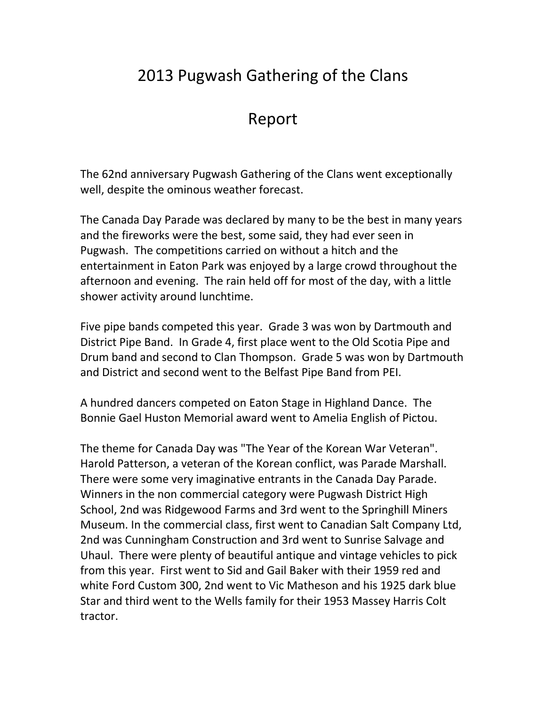## 2013 Pugwash Gathering of the Clans

## Report

The 62nd anniversary Pugwash Gathering of the Clans went exceptionally well, despite the ominous weather forecast.

The Canada Day Parade was declared by many to be the best in many years and the fireworks were the best, some said, they had ever seen in Pugwash. The competitions carried on without a hitch and the entertainment in Eaton Park was enjoyed by a large crowd throughout the afternoon and evening. The rain held off for most of the day, with a little shower activity around lunchtime.

Five pipe bands competed this year. Grade 3 was won by Dartmouth and District Pipe Band. In Grade 4, first place went to the Old Scotia Pipe and Drum band and second to Clan Thompson. Grade 5 was won by Dartmouth and District and second went to the Belfast Pipe Band from PEI.

A hundred dancers competed on Eaton Stage in Highland Dance. The Bonnie Gael Huston Memorial award went to Amelia English of Pictou.

The theme for Canada Day was "The Year of the Korean War Veteran". Harold Patterson, a veteran of the Korean conflict, was Parade Marshall. There were some very imaginative entrants in the Canada Day Parade. Winners in the non commercial category were Pugwash District High School, 2nd was Ridgewood Farms and 3rd went to the Springhill Miners Museum. In the commercial class, first went to Canadian Salt Company Ltd, 2nd was Cunningham Construction and 3rd went to Sunrise Salvage and Uhaul. There were plenty of beautiful antique and vintage vehicles to pick from this year. First went to Sid and Gail Baker with their 1959 red and white Ford Custom 300, 2nd went to Vic Matheson and his 1925 dark blue Star and third went to the Wells family for their 1953 Massey Harris Colt tractor.